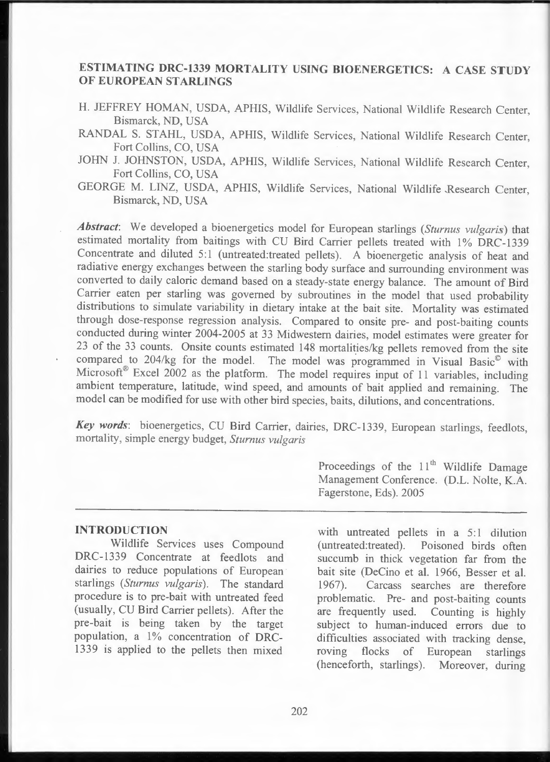# **ESTIMATING DRC-1339 MORTALITY USING BIOENERGETICS: A CASE STUDY OF EUROPEAN STARLINGS**

- H. JEFFREY HOMAN, USDA, APHIS, Wildlife Services, National Wildlife Research Center, Bismarck, ND, USA
- RANDAL S. STAHL, USDA, APHIS, Wildlife Services, National Wildlife Research Center, Fort Collins, CO, USA
- JOHN J. JOHNSTON, USDA, APHIS, Wildlife Services, National Wildlife Research Center, Fort Collins, CO, USA
- GEORGE M. LINZ, USDA, APHIS, Wildlife Services, National Wildlife Research Center, Bismarck, ND, USA

*Abstract:* We developed a bioenergetics model for European starlings *(Sturnus vulgaris)* that estimated mortality from baitings with CU Bird Carrier pellets treated with 1% DRC-1339 Concentrate and diluted 5:1 (untreated:treated pellets). A bioenergetic analysis of heat and radiative energy exchanges between the starling body surface and surrounding environment was converted to daily caloric demand based on a steady-state energy balance. The amount of Bird Carrier eaten per starling was governed by subroutines in the model that used probability distributions to simulate variability in dietary intake at the bait site. Mortality was estimated through dose-response regression analysis. Compared to onsite pre- and post -baiting counts conducted during winter 2004-2005 at 33 Midwestern dairies , model estimates were greater for 23 of the 33 counts. Onsite counts estimated 148 mortalities/kg pellets removed from the site compared to  $204/kg$  for the model. The model was programmed in Visual Basic $^{\circ}$  with Microsoft<sup>®</sup> Excel 2002 as the platform. The model requires input of 11 variables, including ambient temperature, latitude, wind speed, and amounts of bait applied and remaining. The model can be modified for use with other bird species, baits, dilutions, and concentrations.

Key words: bioenergetics, CU Bird Carrier, dairies, DRC-1339, European starlings, feedlots, mortality, simple energy budget, *Sturnus vulgaris* 

#### **INTRODUCTION**

Wildlife Services uses Compound DRC-1339 Concentrate at feedlots and dairies to reduce populations of European starlings *(Sturnus vulgaris).* The standard procedure is to pre-bait with untreated feed (usually, CU Bird Carrier pellets). After the pre-bait is being taken by the target population, a 1% concentration of DRC-1339 is applied to the pellets then mixed

Proceedings of the  $11<sup>th</sup>$  Wildlife Damage Management Conference. (D.L. Nolte, K.A. Fagerstone, Eds). 2005

with untreated pellets in a  $5:1$  dilution (untreated:treated). Poisoned birds often succumb in thick vegetation far from the bait site (DeCino et al. 1966, Besser et al. 1967). Carcass searches are therefore problematic. Pre- and post-baiting counts are frequently used. Counting is highly subject to human-induced errors due to difficulties associated with tracking dense, roving flocks of European starlings (henceforth, starlings). Moreover, during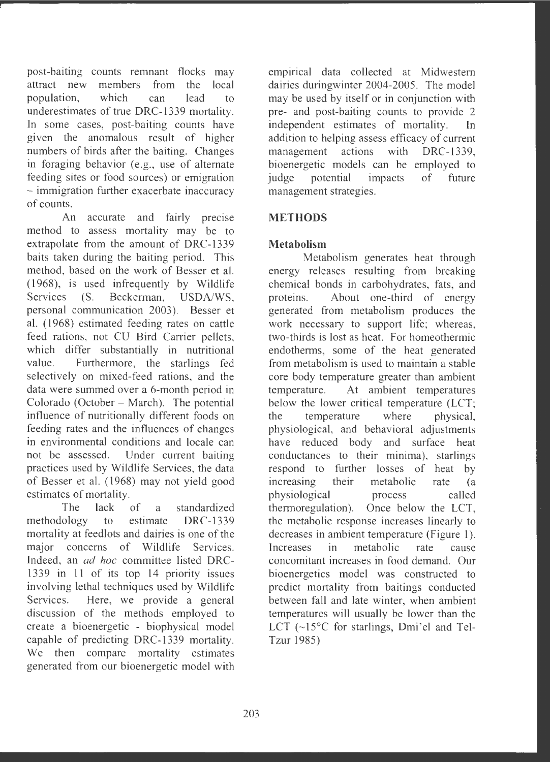post-baiting counts remnant flocks may attract new members from the local population , which can lead to underestimates of true DRC-1339 mortality. In some cases, post-baiting counts have given the anomalous result of higher numbers of birds after the baiting. Changes in foraging behavior (e.g., use of alternate feeding sites or food sources) or emigration - immigration further exacerbate inaccuracy of counts .

An accurate and fairly precise method to assess mortality may be to extrapolate from the amount of DRC-1339 baits taken during the baiting period. This method, based on the work of Besser et al. (1968) , is used infrequently by Wildlife Services (S. Beckerman, USDA/WS, personal communication 2003). Besser et al. (1968) estimated feeding rates on cattle feed rations, not CU Bird Carrier pellets, which differ substantially in nutritional value. Furthermore, the starlings fed selectively on mixed-feed rations, and the data were summed over a 6-month period in Colorado (October – March). The potential influence of nutritionally different foods on feeding rates and the influences of changes in environmental conditions and locale can not be assessed. Under current baiting practices used by Wildlife Services, the data of Besser et al. ( 1968) may not yield good estimates of mortality.

The lack of a standardized methodology to estimate DRC-1339 mortality at feedlots and dairies is one of the major concerns of Wildlife Services. Indeed, an *ad hoc* committee listed DRC-1339 in 11 of its top 14 priority issues involving lethal techniques used by Wildlife Services. Here, we provide a general discussion of the methods employed to create a bioenergetic - biophysical model capable of predicting DRC-1339 mortality. We then compare mortality estimates generated from our bioenergetic model with

empirical data collected at Midwestern dairies duringwinter 2004-2005. The model may be used by itself or in conjunction with pre- and post-baiting counts to provide 2 independent estimates of mortality. In addition to helping assess efficacy of current management actions with DRC-1339, bioenergetic models can be employed to judge potential impacts of future management strategies.

# **METHODS**

# **Metabolism**

Metabolism generates heat through energy releases resulting from breaking chemical bonds in carbohydrates, fats, and proteins . About one-third of energy generated from metabolism produces the work necessary to support life; whereas, two-thirds is lost as heat. For homeothermic endotherms, some of the heat generated from metabolism is used to maintain a stable core body temperature greater than ambient temperature. At ambient temperatures below the lower critical temperature (LCT; the temperature where physical, physiological, and behavioral adjustments have reduced body and surface heat conductances to their minima), starlings respond to further losses of heat by increasing their metabolic rate (a physiological process called thermoregulation). Once below the LCT, the metabolic response increases linearly to decreases in ambient temperature (Figure 1). Increases in metabolic rate cause concomitant increases in food demand. Our bioenergetics model was constructed to predict mortality from baitings conducted between fall and late winter, when ambient temperatures will usually be lower than the LCT (~15°C for starlings, Dmi'el and Tel-Tzur 1985)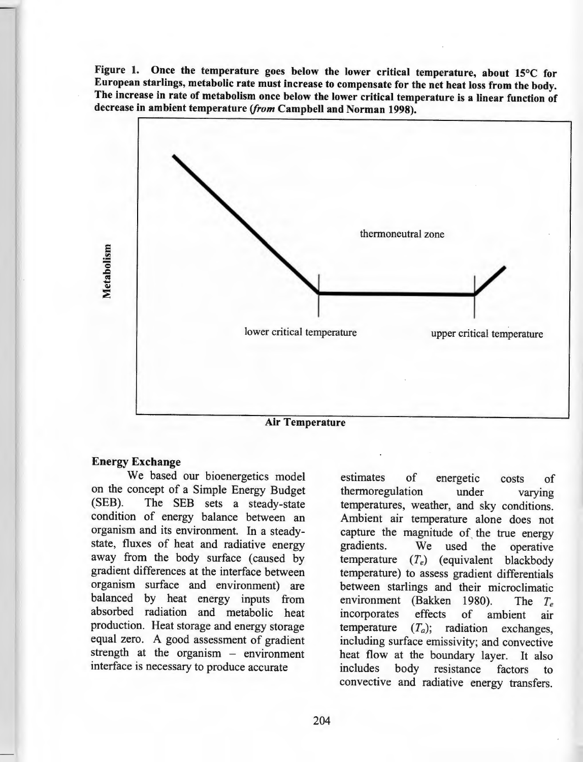**Figure 1. Once the temperature goes below the lower critical temperature, about 15°C for European starlings, metabolic rate must increase to compensate for the net heat loss from the body. The increase in rate of metabolism once below the lower critical temperature is a linear function of decrease in ambient temperature** *(from* **Campbell and Norman 1998).** 



#### **Energy Exchange**

We based our bioenergetics model on the concept of a Simple Energy Budget<br>(SEB). The SEB sets a steady-state The SEB sets a steady-state condition of energy balance between an organism and its environment. In a steadystate, fluxes of heat and radiative energy away from the body surface (caused by gradient differences at the interface between organism surface and environment) are balanced by heat energy inputs from absorbed radiation and metabolic heat production. Heat storage and energy storage equal zero. A good assessment of gradient strength at the organism - environment interface is necessary to produce accurate

estimates of energetic costs of thermoregulation under varying temperatures, weather, and sky conditions. Ambient air temperature alone does not capture the magnitude of the true energy gradients. We used the operative temperature *(Te)* (equivalent blackbody temperature) to assess gradient differentials between starlings and their microclimatic environment (Bakken 1980). The *T<sub>e</sub>* incorporates effects of ambient air temperature  $(T_a)$ ; radiation exchanges, including surface emissivity; and convective heat flow at the boundary layer. It also includes body resistance factors to convective and radiative energy transfers.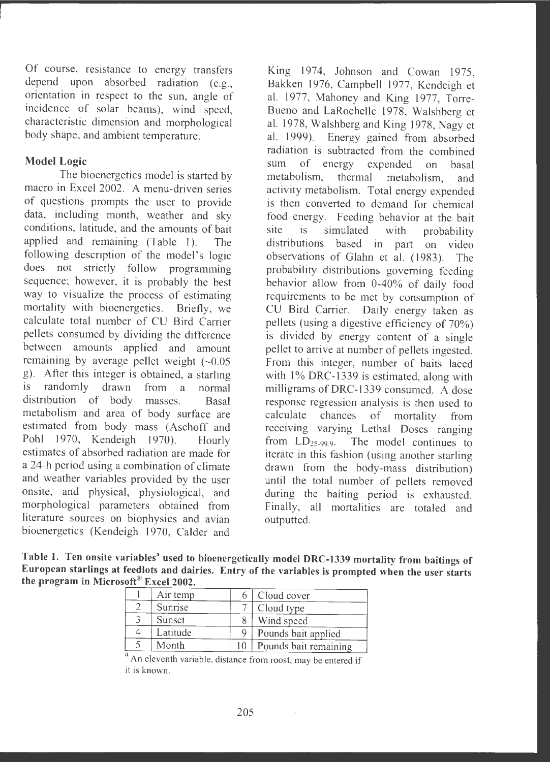Of course, resistance to energy transfers depend upon absorbed radiation (e.g., orientation in respect to the sun, angle of incidence of solar beams), wind speed, characteristic dimension and morphological body shape, and ambient temperature.

### **Model Logic**

The bioenergetics model is started by macro in Excel 2002. A menu-driven series of questions prompts the user to provide data, including month, weather and sky conditions, latitude, and the amounts of bait applied and remaining (Table 1). The following description of the model's logic does not strictly follow programming sequence; however, it is probably the best way to visualize the process of estimating mortality with bioenergetics. Briefly, we calculate total number of CU Bird Carrier pellets consumed by dividing the difference between amounts applied and amount remaining by average pellet weight  $(-0.05$ g). After this integer is obtained, a starling<br>is randomly drawn from a normal randomly drawn from a normal distribution of body masses. Basal metabolism and area of body surface are estimated from body mass (Aschoff and Pohl 1970, Kendeigh 1970). Hourly estimates of absorbed radiation are made for a 24-h period using a combination of climate and weather variables provided by the user onsite, and physical, physiological, and morphological parameters obtained from literature sources on biophysics and avian bioenergetics (Kendeigh 1970, Calder and

King 1974, Johnson and Cowan 1975, Bakken 1976, Campbell 1977, Kendeigh et al. 1977, Mahoney and King 1977, Torre-Bueno and LaRochelle 1978, Walshberg et al. 1978, Walshberg and King 1978, Nagy et al. 1999). Energy gained from absorbed radiation is subtracted from the combined sum of energy expended on basal metabolism, thermal metabolism, and activity metabolism. Total energy expended is then converted to demand for chemical food energy. Feeding behavior at the bait site is simulated with probability distributions based in part on video observations of Glahn et al. ( 1983). The probability distributions governing feeding behavior allow from 0-40% of daily food requirements to be met by consumption of CU Bird Carrier. Daily energy taken as pellets (using a digestive efficiency of 70%) is divided by energy content of a single pellet to arrive at number of pellets ingested. From this integer, number of baits laced with  $1\%$  DRC-1339 is estimated, along with milligrams of DRC-1339 consumed. A dose response regression analysis is then used to calculate chances of mortality from receiving varying Lethal Doses ranging from  $LD_{25-99.9}$ . The model continues to iterate in this fashion (using another starling drawn from the body-mass distribution) until the total number of pellets removed during the baiting period is exhausted. Finally, all mortalities are totaled and outputted.

**Table 1. Ten onsite variables" used to bioenergetically model DRC-1339 mortality from baitings of European starlings at feedlots and dairies. Entry of the variables is prompted when the user starts the program in Microsoft ® Excel 2002.** 

| Air temp |    | Cloud cover           |
|----------|----|-----------------------|
| Sunrise  |    | Cloud type            |
| Sunset   |    | Wind speed            |
| Latitude |    | Pounds bait applied   |
| Month    | 10 | Pounds bait remaining |

<sup>a</sup> An eleventh variable, distance from roost, may be entered if it is known.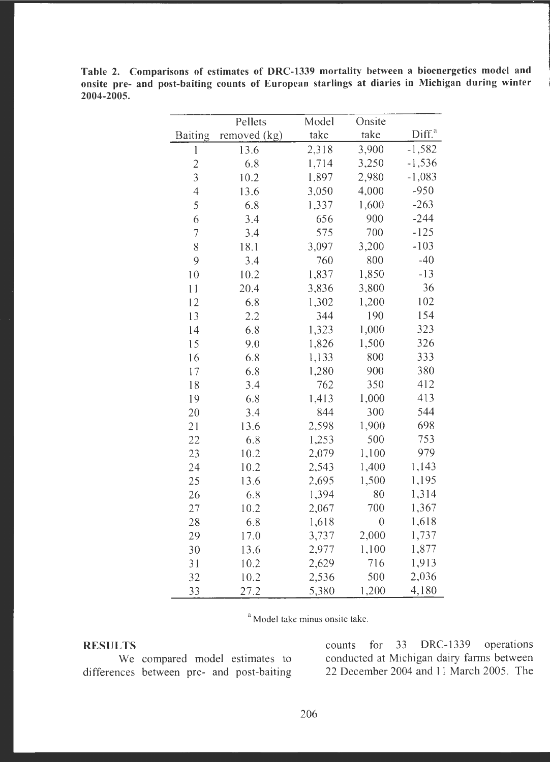**Table 2. Comparisons of estimates of DRC-1339 mortality between a bioenergetics model and onsite pre- and post-baiting counts of European starlings at diaries in Michigan during winter 2004-2005.** 

|                | Pellets      | Model | Onsite           |                    |
|----------------|--------------|-------|------------------|--------------------|
| <b>Baiting</b> | removed (kg) | take  | take             | Diff. <sup>a</sup> |
| $\mathbf 1$    | 13.6         | 2,318 | 3,900            | $-1,582$           |
| $\overline{c}$ | 6.8          | 1,714 | 3,250            | $-1,536$           |
| $\overline{3}$ | 10.2         | 1,897 | 2,980            | $-1,083$           |
| $\overline{4}$ | 13.6         | 3,050 | 4,000            | $-950$             |
| 5              | 6.8          | 1,337 | 1,600            | $-263$             |
| 6              | 3.4          | 656   | 900              | $-244$             |
| $\overline{7}$ | 3.4          | 575   | 700              | $-125$             |
| 8              | 18.1         | 3,097 | 3,200            | $-103$             |
| 9              | 3.4          | 760   | 800              | $-40$              |
| 10             | 10.2         | 1,837 | 1,850            | $-13$              |
| 11             | 20.4         | 3,836 | 3,800            | 36                 |
| 12             | 6.8          | 1,302 | 1,200            | 102                |
| 13             | 2.2          | 344   | 190              | 154                |
| 14             | 6.8          | 1,323 | 1,000            | 323                |
| 15             | 9.0          | 1,826 | 1,500            | 326                |
| 16             | 6.8          | 1,133 | 800              | 333                |
| 17             | 6.8          | 1,280 | 900              | 380                |
| 18             | 3.4          | 762   | 350              | 412                |
| 19             | 6.8          | 1,413 | 1,000            | 413                |
| 20             | 3.4          | 844   | 300              | 544                |
| 21             | 13.6         | 2,598 | 1,900            | 698                |
| 22             | 6.8          | 1,253 | 500              | 753                |
| 23             | 10.2         | 2,079 | 1,100            | 979                |
| 24             | 10.2         | 2,543 | 1,400            | 1,143              |
| 25             | 13.6         | 2,695 | 1,500            | 1,195              |
| 26             | 6.8          | 1,394 | 80               | 1,314              |
| 27             | 10.2         | 2,067 | 700              | 1,367              |
| 28             | 6.8          | 1,618 | $\boldsymbol{0}$ | 1,618              |
| 29             | 17.0         | 3,737 | 2,000            | 1,737              |
| 30             | 13.6         | 2,977 | 1,100            | 1,877              |
| 31             | 10.2         | 2,629 | 716              | 1,913              |
| 32             | 10.2         | 2,536 | 500              | 2,036              |
| 33             | 27.2         | 5,380 | 1,200            | 4,180              |

<sup>a</sup> Model take minus onsite take.

differences between pre- and post-baiting

**RESULTS** counts for 33 DRC-1339 operations We compared model estimates to conducted at Michigan dairy farms between<br>nces between pre- and post-baiting 22 December 2004 and 11 March 2005. The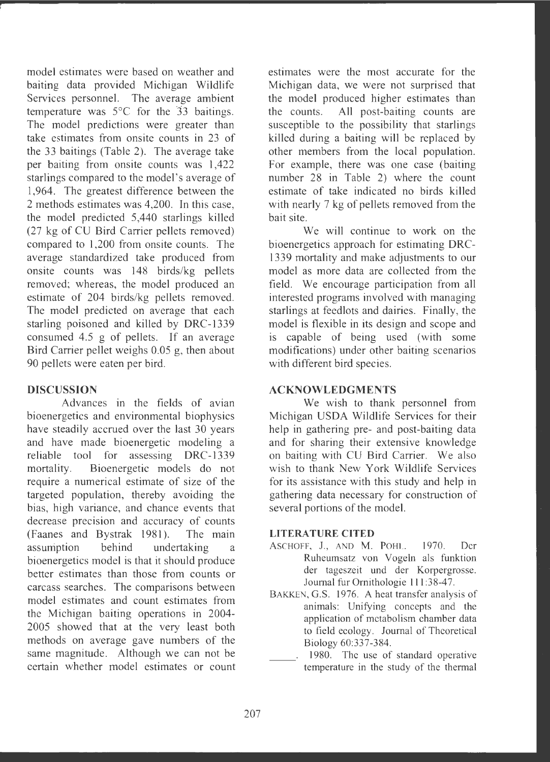model estimates were based on weather and baiting data provided Michigan Wildlife Services personnel. The average ambient temperature was  $5^{\circ}$ C for the  $33$  baitings. The model predictions were greater than take estimates from onsite counts in 23 of the 33 baitings (Table 2). The average take per baiting from onsite counts was 1,422 starlings compared to the model 's average of 1,964. The greatest difference between the 2 methods estimates was 4,200. In this case , the model predicted 5,440 starlings killed (27 kg of CU Bird Carrier pellets removed) compared to 1,200 from onsite counts. The average standardized take produced from onsite counts was 148 birds/kg pellets removed; whereas, the model produced an estimate of 204 birds/kg pellets removed. The model predicted on average that each starling poisoned and killed by DRC-1339 consumed 4.5 g of pellets. If an average Bird Carrier pellet weighs 0.05 g, then about 90 pellets were eaten per bird.

# **DISCUSSION**

Advances in the fields of avian bioenergetics and environmental biophysics have steadily accrued over the last 30 years and have made bioenergetic modeling a reliable tool for assessing DRC-1339 mortality. Bioenergetic models do not require a numerical estimate of size of the targeted population, thereby avoiding the bias, high variance, and chance events that decrease precision and accuracy of counts (Faanes and Bystrak 1981). The main assumption behind undertaking a bioenergetics model is that it should produce better estimates than those from counts or carcass searches. The comparisons between model estimates and count estimates from the Michigan baiting operations in 2004- 2005 showed that at the very least both methods on average gave numbers of the same magnitude. Although we can not be certain whether model estimates or count

estimates were the most accurate for the Michigan data, we were not surprised that the model produced higher estimates than the counts. All post-baiting counts are susceptible to the possibility that starlings killed during a baiting will be replaced by other members from the local population. For example, there was one case (baiting number 28 in Table 2) where the count estimate of take indicated no birds killed with nearly 7 kg of pellets removed from the bait site.

We will continue to work on the bioenergetics approach for estimating DRC - 1339 mortality and make adjustments to our model as more data are collected from the field. We encourage participation from all interested programs involved with managing starlings at feedlots and dairies. Finally, the model is flexible in its design and scope and is capable of being used (with some modifications) under other baiting scenarios with different bird species.

#### **ACKNOWLEDGMENTS**

We wish to thank personnel from Michigan USDA Wildlife Services for their help in gathering pre- and post-baiting data and for sharing their extensive knowledge on baiting with CU Bird Carrier. We also wish to thank New York Wildlife Services for its assistance with this study and help in gathering data necessary for construction of several portions of the model.

#### **LITERATURE CITED**

- ASCHOFF, J., AND M. POHL. 1970. Der Ruheumsatz von Vogeln als funktion der tageszeit und der Korpergrosse. Journal fur Ornithologie 111:38-47.
- BAKKEN, G.S. 1976. A heat transfer analysis of animals: Unifying concepts and the application of metabolism chamber data to field ecology. Journal of Theoretical Biology 60:337-384.
- 1980. The use of standard operative temperature in the study of the thermal